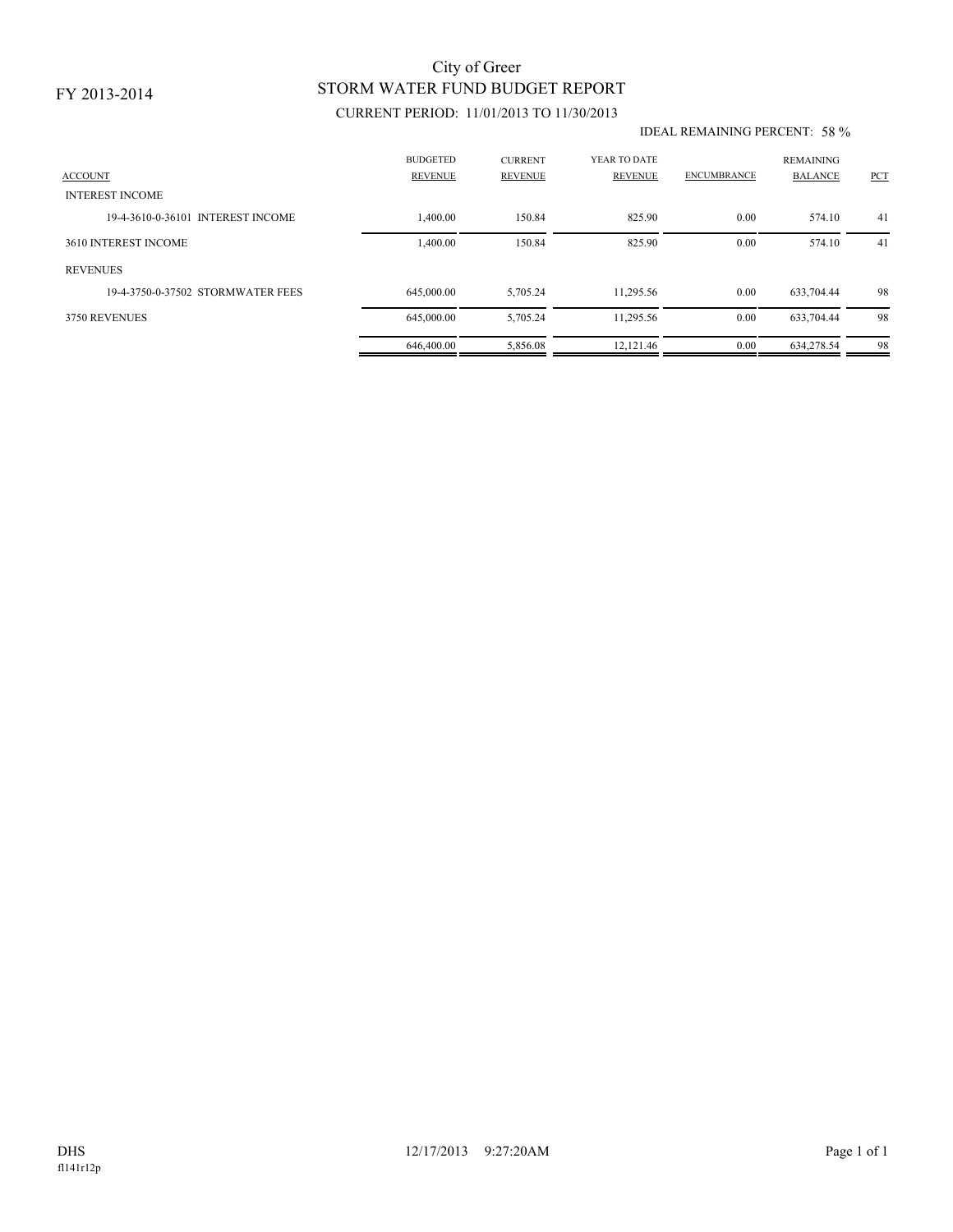# STORM WATER FUND BUDGET REPORT City of Greer

## CURRENT PERIOD: 11/01/2013 TO 11/30/2013

#### IDEAL REMAINING PERCENT: 58 %

| <b>ACCOUNT</b>                    | <b>BUDGETED</b><br><b>REVENUE</b> | <b>CURRENT</b><br><b>REVENUE</b> | YEAR TO DATE<br><b>REVENUE</b> | <b>ENCUMBRANCE</b> | <b>REMAINING</b><br><b>BALANCE</b> | PCT |
|-----------------------------------|-----------------------------------|----------------------------------|--------------------------------|--------------------|------------------------------------|-----|
| <b>INTEREST INCOME</b>            |                                   |                                  |                                |                    |                                    |     |
| 19-4-3610-0-36101 INTEREST INCOME | 1,400.00                          | 150.84                           | 825.90                         | 0.00               | 574.10                             | 41  |
| 3610 INTEREST INCOME              | 1,400.00                          | 150.84                           | 825.90                         | 0.00               | 574.10                             | 41  |
| <b>REVENUES</b>                   |                                   |                                  |                                |                    |                                    |     |
| 19-4-3750-0-37502 STORMWATER FEES | 645,000.00                        | 5,705.24                         | 11,295.56                      | 0.00               | 633,704.44                         | 98  |
| 3750 REVENUES                     | 645,000.00                        | 5,705.24                         | 11,295.56                      | 0.00               | 633,704.44                         | 98  |
|                                   | 646,400.00                        | 5.856.08                         | 12.121.46                      | 0.00               | 634.278.54                         | 98  |